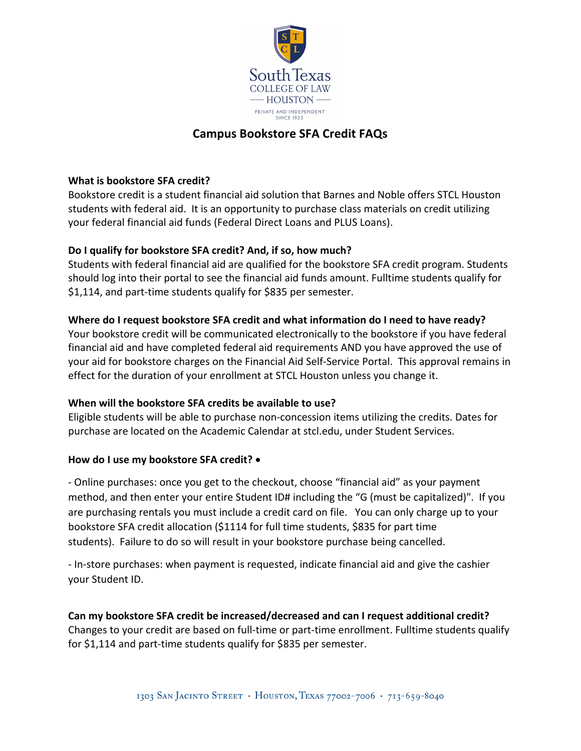

# **Campus Bookstore SFA Credit FAQs**

### **What is bookstore SFA credit?**

Bookstore credit is a student financial aid solution that Barnes and Noble offers STCL Houston students with federal aid. It is an opportunity to purchase class materials on credit utilizing your federal financial aid funds (Federal Direct Loans and PLUS Loans).

## **Do I qualify for bookstore SFA credit? And, if so, how much?**

Students with federal financial aid are qualified for the bookstore SFA credit program. Students should log into their portal to see the financial aid funds amount. Fulltime students qualify for \$1,114, and part-time students qualify for \$835 per semester.

## **Where do I request bookstore SFA credit and what information do I need to have ready?**

Your bookstore credit will be communicated electronically to the bookstore if you have federal financial aid and have completed federal aid requirements AND you have approved the use of your aid for bookstore charges on the Financial Aid Self-Service Portal. This approval remains in effect for the duration of your enrollment at STCL Houston unless you change it.

#### **When will the bookstore SFA credits be available to use?**

Eligible students will be able to purchase non-concession items utilizing the credits. Dates for purchase are located on the Academic Calendar at stcl.edu, under Student Services.

#### **How do I use my bookstore SFA credit?** •

- Online purchases: once you get to the checkout, choose "financial aid" as your payment method, and then enter your entire Student ID# including the "G (must be capitalized)". If you are purchasing rentals you must include a credit card on file. You can only charge up to your bookstore SFA credit allocation (\$1114 for full time students, \$835 for part time students). Failure to do so will result in your bookstore purchase being cancelled.

- In-store purchases: when payment is requested, indicate financial aid and give the cashier your Student ID.

**Can my bookstore SFA credit be increased/decreased and can I request additional credit?** Changes to your credit are based on full-time or part-time enrollment. Fulltime students qualify for \$1,114 and part-time students qualify for \$835 per semester.